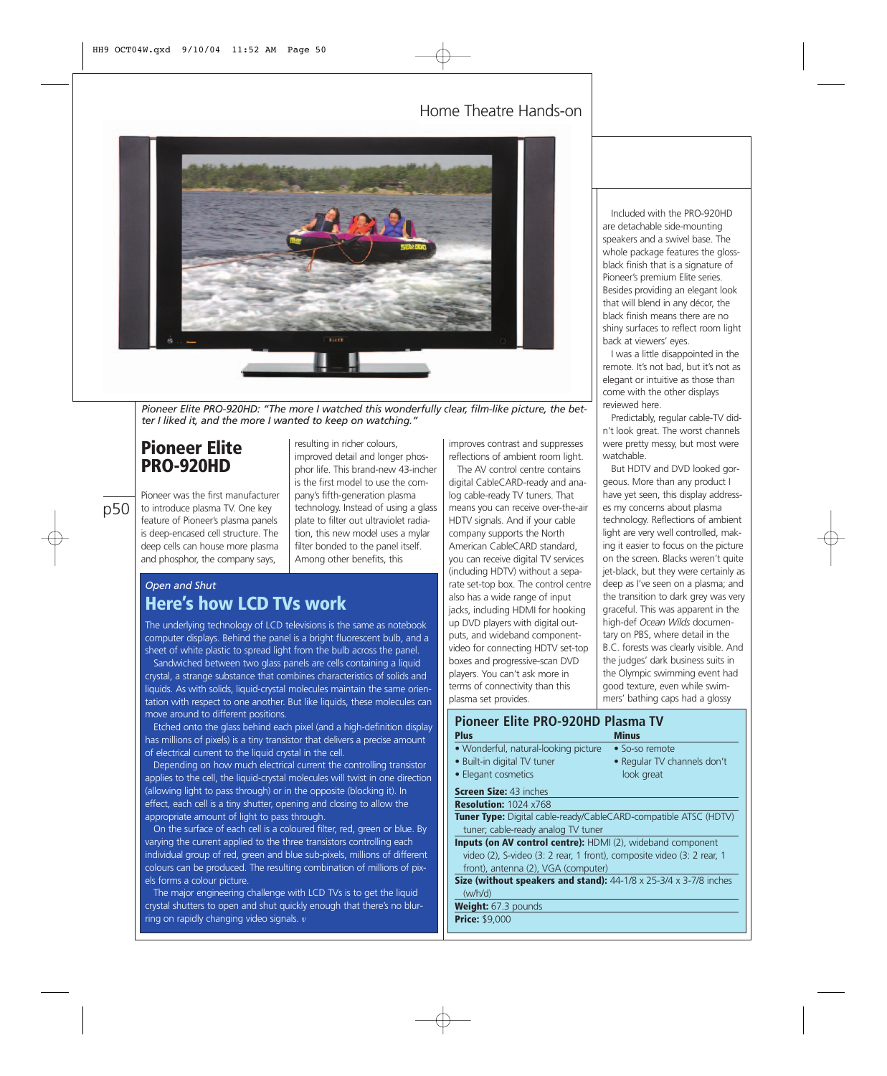### Home Theatre Hands-on



*Pioneer Elite PRO-920HD: "The more I watched this wonderfully clear, film-like picture, the better I liked it, and the more I wanted to keep on watching."*

## **Pioneer Elite PRO-920HD**

p50

Pioneer was the first manufacturer to introduce plasma TV. One key feature of Pioneer's plasma panels is deep-encased cell structure. The deep cells can house more plasma and phosphor, the company says,

resulting in richer colours, improved detail and longer phosphor life. This brand-new 43-incher is the first model to use the company's fifth-generation plasma technology. Instead of using a glass plate to filter out ultraviolet radiation, this new model uses a mylar filter bonded to the panel itself. Among other benefits, this

## *Open and Shut* **Here's how LCD TVs work**

The underlying technology of LCD televisions is the same as notebook computer displays. Behind the panel is a bright fluorescent bulb, and a sheet of white plastic to spread light from the bulb across the panel. Sandwiched between two glass panels are cells containing a liquid crystal, a strange substance that combines characteristics of solids and liquids. As with solids, liquid-crystal molecules maintain the same orientation with respect to one another. But like liquids, these molecules can move around to different positions.

Etched onto the glass behind each pixel (and a high-definition display has millions of pixels) is a tiny transistor that delivers a precise amount of electrical current to the liquid crystal in the cell.

Depending on how much electrical current the controlling transistor applies to the cell, the liquid-crystal molecules will twist in one direction (allowing light to pass through) or in the opposite (blocking it). In effect, each cell is a tiny shutter, opening and closing to allow the appropriate amount of light to pass through.

On the surface of each cell is a coloured filter, red, green or blue. By varying the current applied to the three transistors controlling each individual group of red, green and blue sub-pixels, millions of different colours can be produced. The resulting combination of millions of pixels forms a colour picture.

The major engineering challenge with LCD TVs is to get the liquid crystal shutters to open and shut quickly enough that there's no blurring on rapidly changing video signals. *v*

improves contrast and suppresses reflections of ambient room light.

The AV control centre contains digital CableCARD-ready and analog cable-ready TV tuners. That means you can receive over-the-air HDTV signals. And if your cable company supports the North American CableCARD standard, you can receive digital TV services (including HDTV) without a separate set-top box. The control centre also has a wide range of input jacks, including HDMI for hooking up DVD players with digital outputs, and wideband componentvideo for connecting HDTV set-top boxes and progressive-scan DVD players. You can't ask more in terms of connectivity than this plasma set provides.

### **Pioneer Elite PRO-920HD Plasma TV Plus** Minus • Wonderful, natural-looking picture • So-so remote<br>• Built-in digital TV tuner • Regular TV channels don't • Built-in digital TV tuner  $\bullet$  Elegant cosm

### **Screen Size: 4 Resolution: 10**

**Tuner Type:** Digital tuner; cable-

**Inputs (on AV** video (2), S-video (3: 2 rear, 1 front), composite video (3: 2 rear, 1 front), antenna (2), VGA (computer)

**Size (without speakers and stand):** 44-1/8 x 25-3/4 x 3-7/8 inches (w/h/d)

**Weight:** 67.3 pounds **Price:** \$9,000

Included with the PRO-920HD are detachable side-mounting speakers and a swivel base. The whole package features the glossblack finish that is a signature of Pioneer's premium Elite series. Besides providing an elegant look that will blend in any décor, the black finish means there are no shiny surfaces to reflect room light back at viewers' eyes.

I was a little disappointed in the remote. It's not bad, but it's not as elegant or intuitive as those than come with the other displays reviewed here.

Predictably, regular cable-TV didn't look great. The worst channels were pretty messy, but most were watchable.

But HDTV and DVD looked gorgeous. More than any product I have yet seen, this display addresses my concerns about plasma technology. Reflections of ambient light are very well controlled, making it easier to focus on the picture on the screen. Blacks weren't quite jet-black, but they were certainly as deep as I've seen on a plasma; and the transition to dark grey was very graceful. This was apparent in the high-def *Ocean Wilds* documentary on PBS, where detail in the B.C. forests was clearly visible. And the judges' dark business suits in the Olympic swimming event had good texture, even while swimmers' bathing caps had a glossy

| . <del>.</del>        | The incording the channels don't                    |
|-----------------------|-----------------------------------------------------|
| etics                 | look great                                          |
| 3 inches              |                                                     |
| 024 x768              |                                                     |
|                       | igital cable-ready/CableCARD-compatible ATSC (HDTV) |
| ready analog TV tuner |                                                     |
|                       | control centre): HDMI (2), wideband component       |
|                       |                                                     |